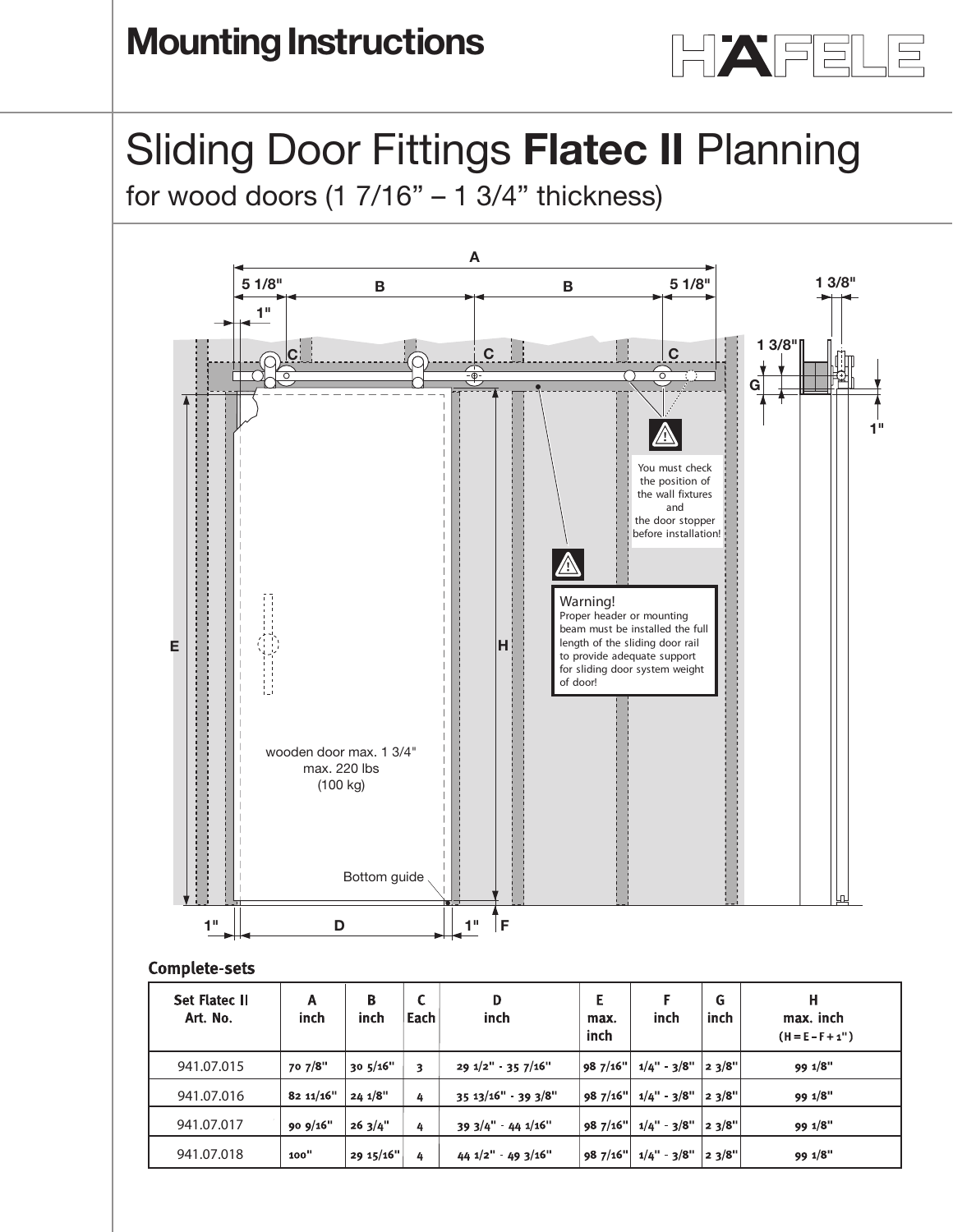

# Sliding Door Fittings **Flatec II** Planning **Planning guide**

Shan iy Door Flatings **Flatec II** Flam



## **Complete-sets**

| <b>Set Flatec II</b><br>Art. No. | Α<br>inch | B<br>inch  | ⊾<br>Each | D<br>inch                    | Е<br>max.<br>inch | inch          | G<br>inch | н<br>max. inch<br>$(H = E - F + 1")$ |
|----------------------------------|-----------|------------|-----------|------------------------------|-------------------|---------------|-----------|--------------------------------------|
| 941.07.015                       | 70 7/8"   | 30.5/16"   | 3         | $29\frac{1}{2}$ " - 35 7/16" | 987/16"           | $1/4" - 3/8"$ | 23/8"     | 99 1/8"                              |
| 941.07.016                       | 82 11/16" | $24.1/8$ " | 4         | $35.13/16"$ 39 3/8"          | 98 7/16"          | $1/4" - 3/8"$ | 23/8"     | 99 1/8"                              |
| 941.07.017                       | 90 9/16"  | 263/4"     | 4         | $393/4"$ 44 $1/16"$          | 987/16"           | $1/4" - 3/8"$ | 23/8"     | 99 1/8"                              |
| 941.07.018                       | 100"      | 29 15/16"  | 4         | $44 1/2" - 49 3/16"$         | 98 7/16"          | 1/4" 3/8"     | 23/8"     | 99 1/8"                              |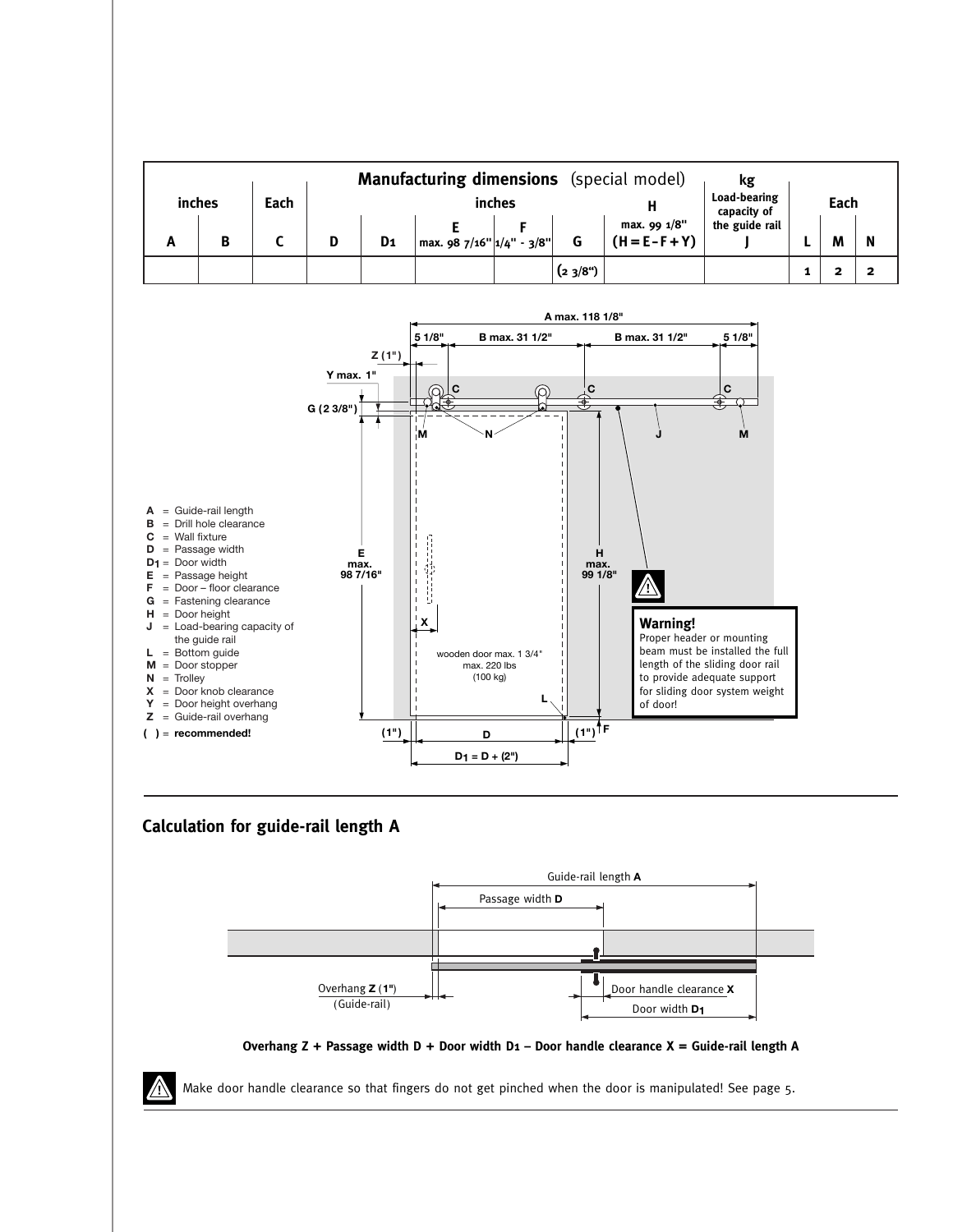| <b>Manufacturing dimensions</b> (special model) |        |      |  |                |                                                                                    |        |        |                                   | kg                          |      |   |   |
|-------------------------------------------------|--------|------|--|----------------|------------------------------------------------------------------------------------|--------|--------|-----------------------------------|-----------------------------|------|---|---|
|                                                 | inches | Each |  |                |                                                                                    | inches |        |                                   | Load-bearing<br>capacity of | Each |   |   |
| n                                               | В      |      |  | D <sub>1</sub> | $\left  \right.$ max. 98 7/16" $\left  \right.1\right/$ 4" - 3/8" $\left  \right $ |        |        | max. 99 1/8"<br>$(H = E - F + Y)$ | the guide rail              |      | M | N |
|                                                 |        |      |  |                |                                                                                    |        | (23/8) |                                   |                             |      |   |   |



## **Calculation for guide-rail length A**





Make door handle clearance so that fingers do not get pinched when the door is manipulated! See page 5.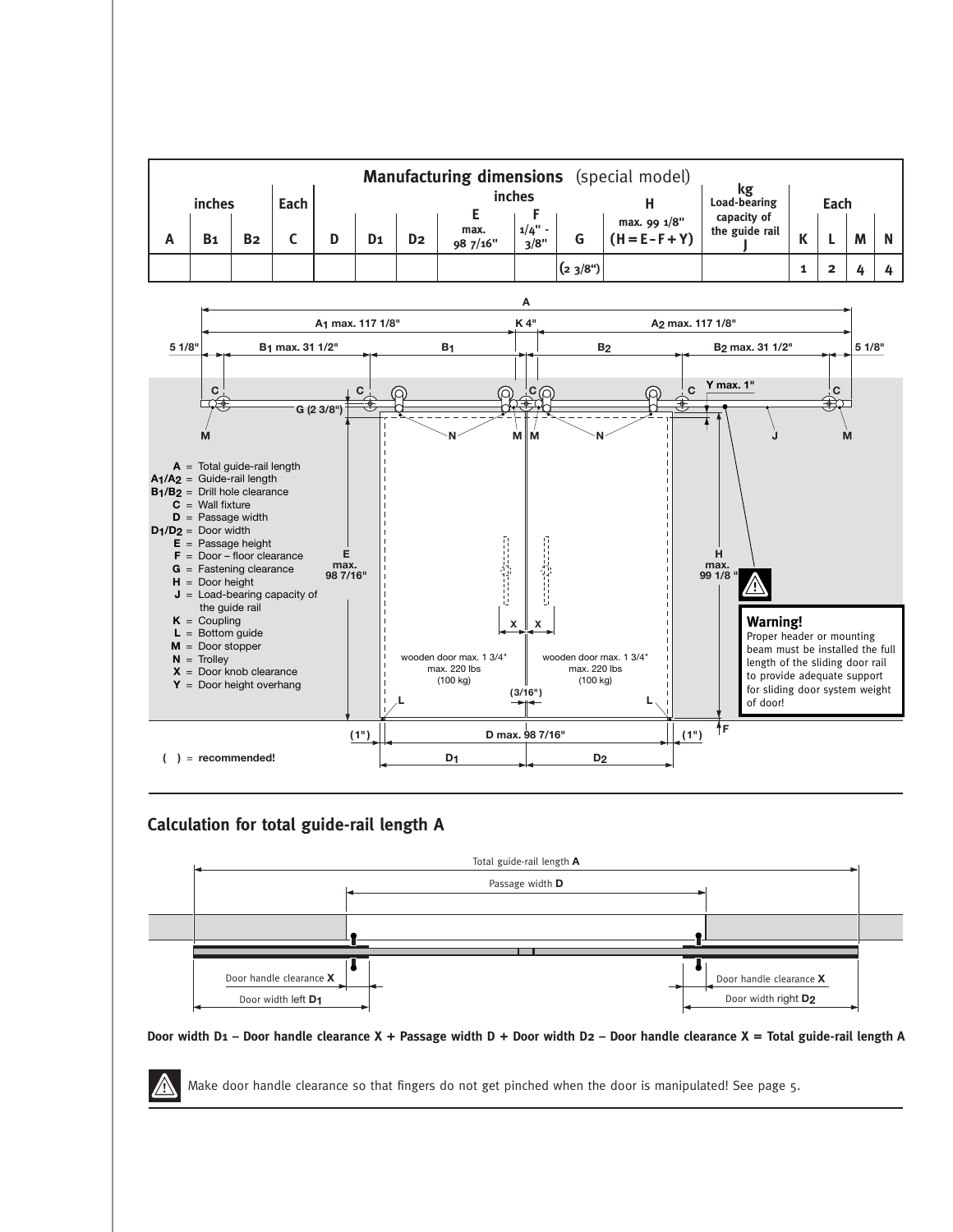

#### **Calculation for total guide-rail length A**



#### Door width D1 - Door handle clearance X + Passage width D + Door width D2 - Door handle clearance X = Total guide-rail length A

Make door handle clearance so that fingers do not get pinched when the door is manipulated! See page 5.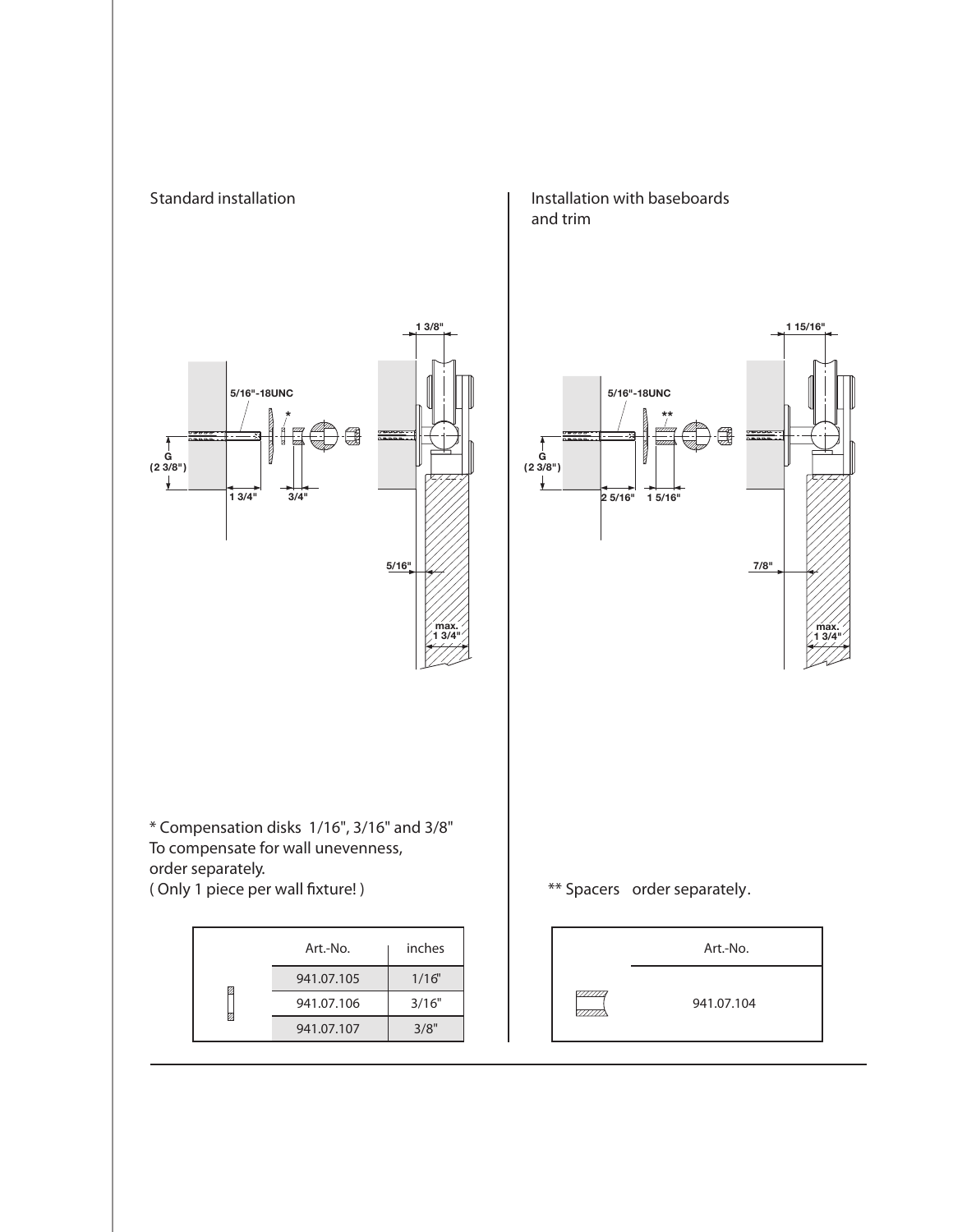

**Installation with baseboards and trim** 

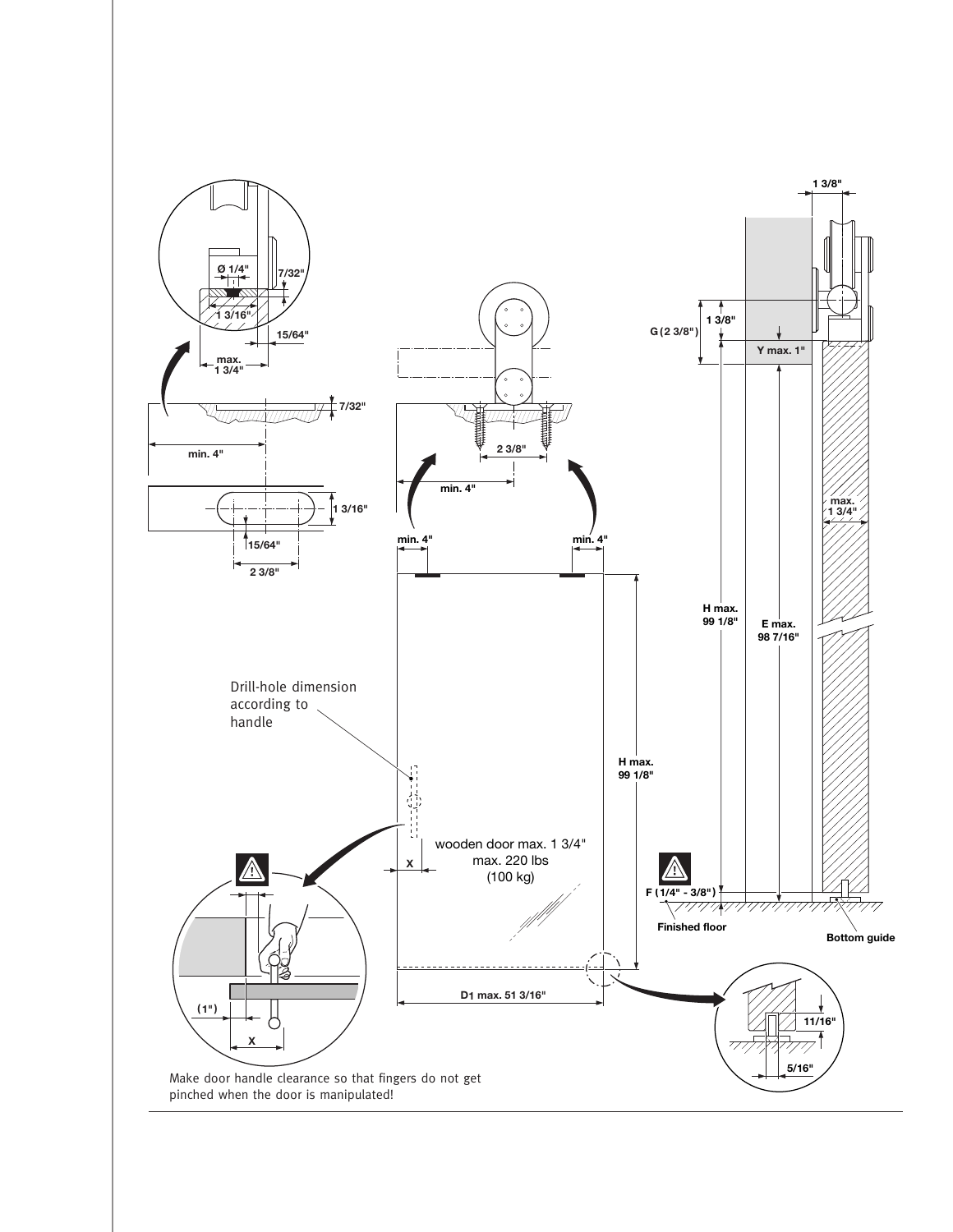